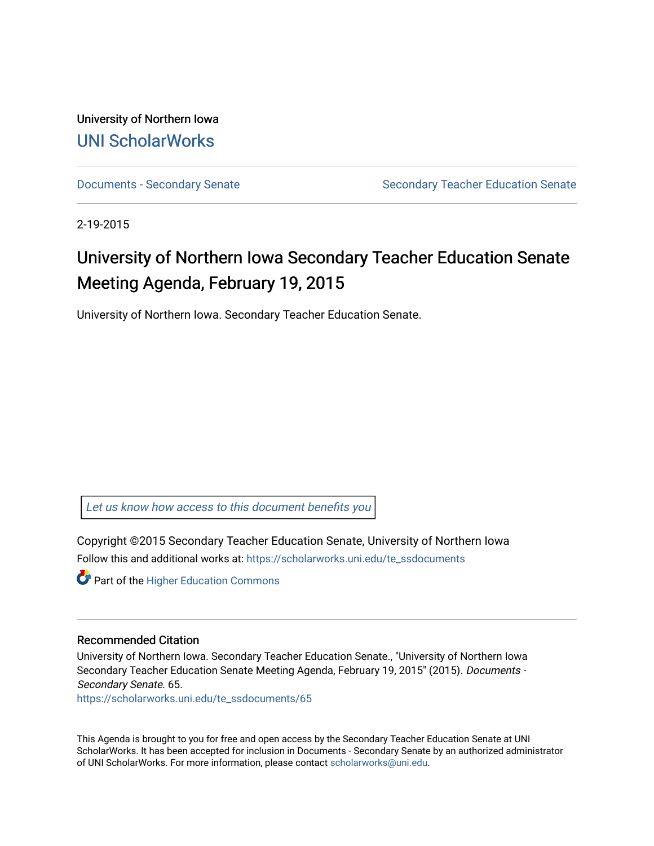University of Northern Iowa [UNI ScholarWorks](https://scholarworks.uni.edu/) 

[Documents - Secondary Senate](https://scholarworks.uni.edu/te_ssdocuments) Senate Secondary Teacher Education Senate

2-19-2015

# University of Northern Iowa Secondary Teacher Education Senate Meeting Agenda, February 19, 2015

University of Northern Iowa. Secondary Teacher Education Senate.

[Let us know how access to this document benefits you](https://scholarworks.uni.edu/feedback_form.html) 

Copyright ©2015 Secondary Teacher Education Senate, University of Northern Iowa Follow this and additional works at: [https://scholarworks.uni.edu/te\\_ssdocuments](https://scholarworks.uni.edu/te_ssdocuments?utm_source=scholarworks.uni.edu%2Fte_ssdocuments%2F65&utm_medium=PDF&utm_campaign=PDFCoverPages) 

**Part of the Higher Education Commons** 

#### Recommended Citation

University of Northern Iowa. Secondary Teacher Education Senate., "University of Northern Iowa Secondary Teacher Education Senate Meeting Agenda, February 19, 2015" (2015). Documents - Secondary Senate. 65.

[https://scholarworks.uni.edu/te\\_ssdocuments/65](https://scholarworks.uni.edu/te_ssdocuments/65?utm_source=scholarworks.uni.edu%2Fte_ssdocuments%2F65&utm_medium=PDF&utm_campaign=PDFCoverPages)

This Agenda is brought to you for free and open access by the Secondary Teacher Education Senate at UNI ScholarWorks. It has been accepted for inclusion in Documents - Secondary Senate by an authorized administrator of UNI ScholarWorks. For more information, please contact [scholarworks@uni.edu](mailto:scholarworks@uni.edu).